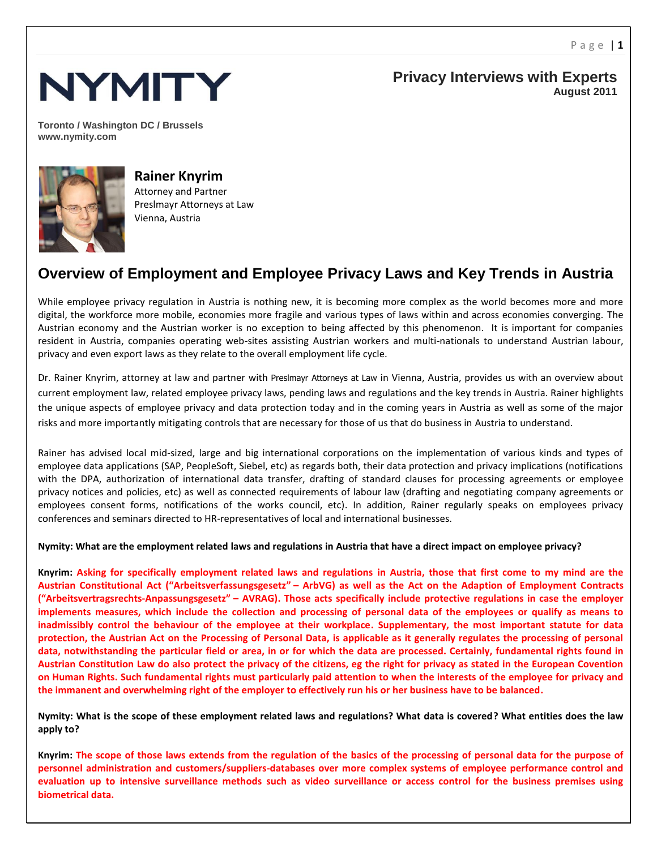

**Privacy Interviews with Experts August 2011**

**Toronto / Washington DC / Brussels www.nymity.com**



**Rainer Knyrim** Attorney and Partner Preslmayr Attorneys at Law Vienna, Austria

## **Overview of Employment and Employee Privacy Laws and Key Trends in Austria**

While employee privacy regulation in Austria is nothing new, it is becoming more complex as the world becomes more and more digital, the workforce more mobile, economies more fragile and various types of laws within and across economies converging. The Austrian economy and the Austrian worker is no exception to being affected by this phenomenon. It is important for companies resident in Austria, companies operating web-sites assisting Austrian workers and multi-nationals to understand Austrian labour, privacy and even export laws as they relate to the overall employment life cycle.

Dr. Rainer Knyrim, attorney at law and partner with Preslmayr Attorneys at Law in Vienna, Austria, provides us with an overview about current employment law, related employee privacy laws, pending laws and regulations and the key trends in Austria. Rainer highlights the unique aspects of employee privacy and data protection today and in the coming years in Austria as well as some of the major risks and more importantly mitigating controls that are necessary for those of us that do business in Austria to understand.

Rainer has advised local mid-sized, large and big international corporations on the implementation of various kinds and types of employee data applications (SAP, PeopleSoft, Siebel, etc) as regards both, their data protection and privacy implications (notifications with the DPA, authorization of international data transfer, drafting of standard clauses for processing agreements or employee privacy notices and policies, etc) as well as connected requirements of labour law (drafting and negotiating company agreements or employees consent forms, notifications of the works council, etc). In addition, Rainer regularly speaks on employees privacy conferences and seminars directed to HR-representatives of local and international businesses.

**Nymity: What are the employment related laws and regulations in Austria that have a direct impact on employee privacy?**

**Knyrim: Asking for specifically employment related laws and regulations in Austria, those that first come to my mind are the Austrian Constitutional Act ("Arbeitsverfassungsgesetz" – ArbVG) as well as the Act on the Adaption of Employment Contracts ("Arbeitsvertragsrechts-Anpassungsgesetz" – AVRAG). Those acts specifically include protective regulations in case the employer implements measures, which include the collection and processing of personal data of the employees or qualify as means to inadmissibly control the behaviour of the employee at their workplace. Supplementary, the most important statute for data protection, the Austrian Act on the Processing of Personal Data, is applicable as it generally regulates the processing of personal data, notwithstanding the particular field or area, in or for which the data are processed. Certainly, fundamental rights found in Austrian Constitution Law do also protect the privacy of the citizens, eg the right for privacy as stated in the European Covention on Human Rights. Such fundamental rights must particularly paid attention to when the interests of the employee for privacy and the immanent and overwhelming right of the employer to effectively run his or her business have to be balanced.**

**Nymity: What is the scope of these employment related laws and regulations? What data is covered? What entities does the law apply to?**

**Knyrim: The scope of those laws extends from the regulation of the basics of the processing of personal data for the purpose of personnel administration and customers/suppliers-databases over more complex systems of employee performance control and evaluation up to intensive surveillance methods such as video surveillance or access control for the business premises using biometrical data.**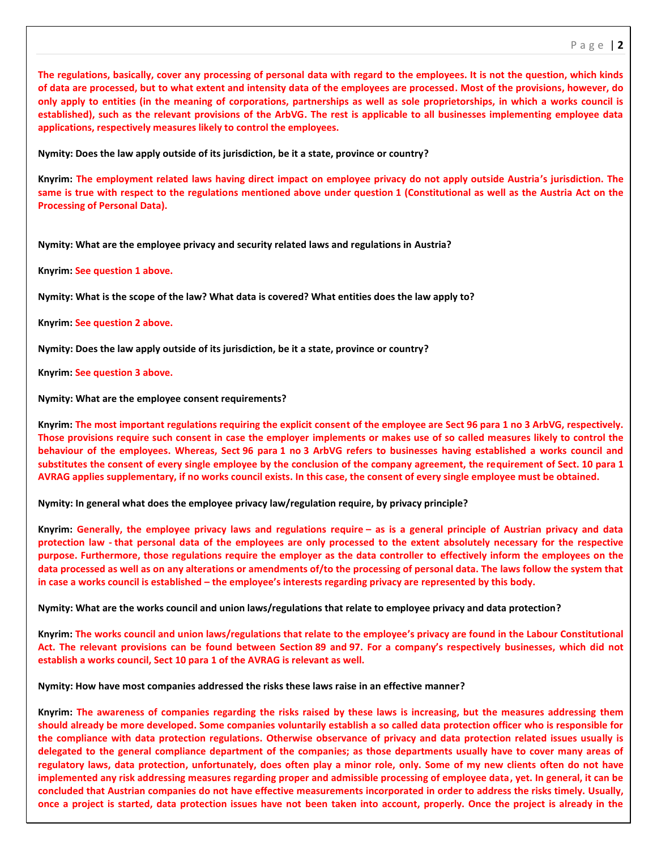**The regulations, basically, cover any processing of personal data with regard to the employees. It is not the question, which kinds of data are processed, but to what extent and intensity data of the employees are processed. Most of the provisions, however, do only apply to entities (in the meaning of corporations, partnerships as well as sole proprietorships, in which a works council is established), such as the relevant provisions of the ArbVG. The rest is applicable to all businesses implementing employee data applications, respectively measures likely to control the employees.**

**Nymity: Does the law apply outside of its jurisdiction, be it a state, province or country?** 

**Knyrim: The employment related laws having direct impact on employee privacy do not apply outside Austria's jurisdiction. The same is true with respect to the regulations mentioned above under question 1 (Constitutional as well as the Austria Act on the Processing of Personal Data).**

**Nymity: What are the employee privacy and security related laws and regulations in Austria?**

**Knyrim: See question 1 above.**

**Nymity: What is the scope of the law? What data is covered? What entities does the law apply to?**

**Knyrim: See question 2 above.**

**Nymity: Does the law apply outside of its jurisdiction, be it a state, province or country?** 

**Knyrim: See question 3 above.**

**Nymity: What are the employee consent requirements?**

**Knyrim: The most important regulations requiring the explicit consent of the employee are Sect 96 para 1 no 3 ArbVG, respectively. Those provisions require such consent in case the employer implements or makes use of so called measures likely to control the behaviour of the employees. Whereas, Sect 96 para 1 no 3 ArbVG refers to businesses having established a works council and substitutes the consent of every single employee by the conclusion of the company agreement, the requirement of Sect. 10 para 1 AVRAG applies supplementary, if no works council exists. In this case, the consent of every single employee must be obtained.**

**Nymity: In general what does the employee privacy law/regulation require, by privacy principle?**

**Knyrim: Generally, the employee privacy laws and regulations require – as is a general principle of Austrian privacy and data protection law - that personal data of the employees are only processed to the extent absolutely necessary for the respective purpose. Furthermore, those regulations require the employer as the data controller to effectively inform the employees on the data processed as well as on any alterations or amendments of/to the processing of personal data. The laws follow the system that in case a works council is established – the employee's interests regarding privacy are represented by this body.**

**Nymity: What are the works council and union laws/regulations that relate to employee privacy and data protection?** 

**Knyrim: The works council and union laws/regulations that relate to the employee's privacy are found in the Labour Constitutional Act. The relevant provisions can be found between Section 89 and 97. For a company's respectively businesses, which did not establish a works council, Sect 10 para 1 of the AVRAG is relevant as well.**

**Nymity: How have most companies addressed the risks these laws raise in an effective manner?** 

**Knyrim: The awareness of companies regarding the risks raised by these laws is increasing, but the measures addressing them should already be more developed. Some companies voluntarily establish a so called data protection officer who is responsible for the compliance with data protection regulations. Otherwise observance of privacy and data protection related issues usually is delegated to the general compliance department of the companies; as those departments usually have to cover many areas of regulatory laws, data protection, unfortunately, does often play a minor role, only. Some of my new clients often do not have implemented any risk addressing measures regarding proper and admissible processing of employee data, yet. In general, it can be concluded that Austrian companies do not have effective measurements incorporated in order to address the risks timely. Usually, once a project is started, data protection issues have not been taken into account, properly. Once the project is already in the**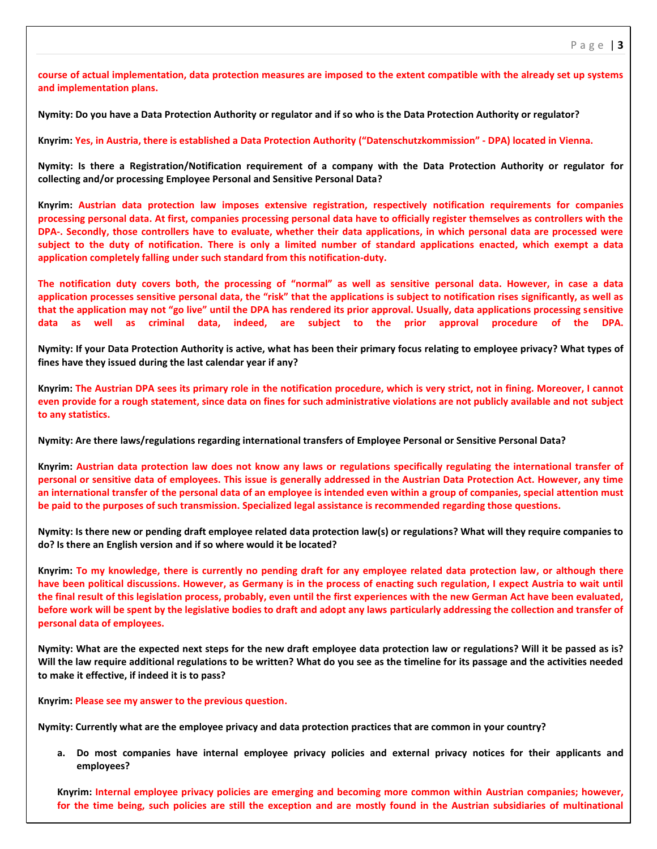**course of actual implementation, data protection measures are imposed to the extent compatible with the already set up systems and implementation plans.**

**Nymity: Do you have a Data Protection Authority or regulator and if so who is the Data Protection Authority or regulator?** 

**Knyrim: Yes, in Austria, there is established a Data Protection Authority ("Datenschutzkommission" - DPA) located in Vienna.**

**Nymity: Is there a Registration/Notification requirement of a company with the Data Protection Authority or regulator for collecting and/or processing Employee Personal and Sensitive Personal Data?**

**Knyrim: Austrian data protection law imposes extensive registration, respectively notification requirements for companies processing personal data. At first, companies processing personal data have to officially register themselves as controllers with the DPA-. Secondly, those controllers have to evaluate, whether their data applications, in which personal data are processed were subject to the duty of notification. There is only a limited number of standard applications enacted, which exempt a data application completely falling under such standard from this notification-duty.**

**The notification duty covers both, the processing of "normal" as well as sensitive personal data. However, in case a data application processes sensitive personal data, the "risk" that the applications is subject to notification rises significantly, as well as that the application may not "go live" until the DPA has rendered its prior approval. Usually, data applications processing sensitive data as well as criminal data, indeed, are subject to the prior approval procedure of the DPA.**

**Nymity: If your Data Protection Authority is active, what has been their primary focus relating to employee privacy? What types of fines have they issued during the last calendar year if any?**

**Knyrim: The Austrian DPA sees its primary role in the notification procedure, which is very strict, not in fining. Moreover, I cannot even provide for a rough statement, since data on fines for such administrative violations are not publicly available and not subject to any statistics.**

**Nymity: Are there laws/regulations regarding international transfers of Employee Personal or Sensitive Personal Data?**

**Knyrim: Austrian data protection law does not know any laws or regulations specifically regulating the international transfer of personal or sensitive data of employees. This issue is generally addressed in the Austrian Data Protection Act. However, any time an international transfer of the personal data of an employee is intended even within a group of companies, special attention must be paid to the purposes of such transmission. Specialized legal assistance is recommended regarding those questions.**

**Nymity: Is there new or pending draft employee related data protection law(s) or regulations? What will they require companies to do? Is there an English version and if so where would it be located?** 

**Knyrim: To my knowledge, there is currently no pending draft for any employee related data protection law, or although there have been political discussions. However, as Germany is in the process of enacting such regulation, I expect Austria to wait until the final result of this legislation process, probably, even until the first experiences with the new German Act have been evaluated, before work will be spent by the legislative bodies to draft and adopt any laws particularly addressing the collection and transfer of personal data of employees.**

**Nymity: What are the expected next steps for the new draft employee data protection law or regulations? Will it be passed as is? Will the law require additional regulations to be written? What do you see as the timeline for its passage and the activities needed to make it effective, if indeed it is to pass?** 

**Knyrim: Please see my answer to the previous question.**

**Nymity: Currently what are the employee privacy and data protection practices that are common in your country?**

**a. Do most companies have internal employee privacy policies and external privacy notices for their applicants and employees?**

**Knyrim: Internal employee privacy policies are emerging and becoming more common within Austrian companies; however, for the time being, such policies are still the exception and are mostly found in the Austrian subsidiaries of multinational**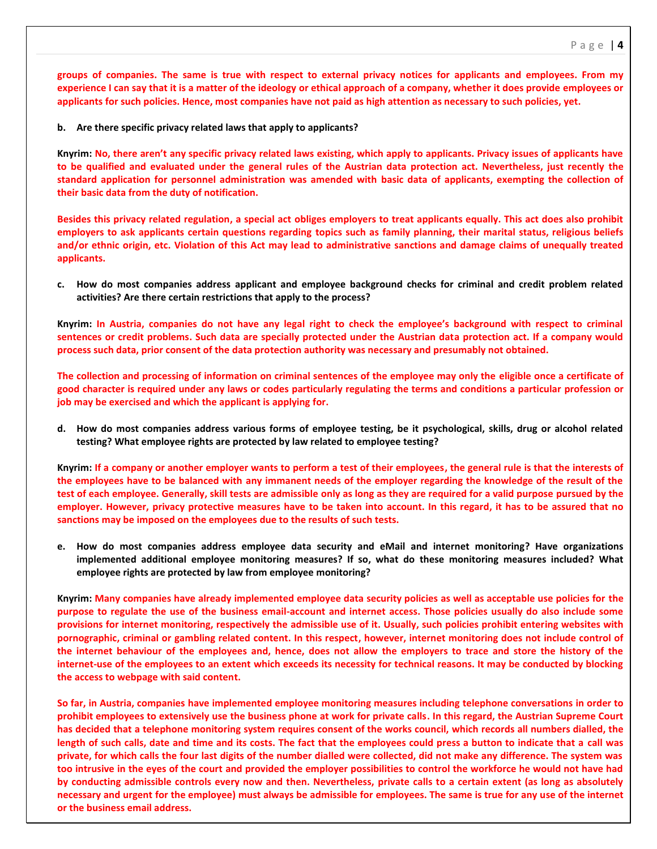**groups of companies. The same is true with respect to external privacy notices for applicants and employees. From my experience I can say that it is a matter of the ideology or ethical approach of a company, whether it does provide employees or applicants for such policies. Hence, most companies have not paid as high attention as necessary to such policies, yet.**

**b. Are there specific privacy related laws that apply to applicants?**

**Knyrim: No, there aren't any specific privacy related laws existing, which apply to applicants. Privacy issues of applicants have to be qualified and evaluated under the general rules of the Austrian data protection act. Nevertheless, just recently the standard application for personnel administration was amended with basic data of applicants, exempting the collection of their basic data from the duty of notification.**

**Besides this privacy related regulation, a special act obliges employers to treat applicants equally. This act does also prohibit employers to ask applicants certain questions regarding topics such as family planning, their marital status, religious beliefs and/or ethnic origin, etc. Violation of this Act may lead to administrative sanctions and damage claims of unequally treated applicants.**

**c. How do most companies address applicant and employee background checks for criminal and credit problem related activities? Are there certain restrictions that apply to the process?**

**Knyrim: In Austria, companies do not have any legal right to check the employee's background with respect to criminal sentences or credit problems. Such data are specially protected under the Austrian data protection act. If a company would process such data, prior consent of the data protection authority was necessary and presumably not obtained.**

**The collection and processing of information on criminal sentences of the employee may only the eligible once a certificate of good character is required under any laws or codes particularly regulating the terms and conditions a particular profession or job may be exercised and which the applicant is applying for.**

**d. How do most companies address various forms of employee testing, be it psychological, skills, drug or alcohol related testing? What employee rights are protected by law related to employee testing?**

**Knyrim: If a company or another employer wants to perform a test of their employees, the general rule is that the interests of the employees have to be balanced with any immanent needs of the employer regarding the knowledge of the result of the test of each employee. Generally, skill tests are admissible only as long as they are required for a valid purpose pursued by the employer. However, privacy protective measures have to be taken into account. In this regard, it has to be assured that no sanctions may be imposed on the employees due to the results of such tests.**

**e. How do most companies address employee data security and eMail and internet monitoring? Have organizations implemented additional employee monitoring measures? If so, what do these monitoring measures included? What employee rights are protected by law from employee monitoring?**

**Knyrim: Many companies have already implemented employee data security policies as well as acceptable use policies for the purpose to regulate the use of the business email-account and internet access. Those policies usually do also include some provisions for internet monitoring, respectively the admissible use of it. Usually, such policies prohibit entering websites with pornographic, criminal or gambling related content. In this respect, however, internet monitoring does not include control of the internet behaviour of the employees and, hence, does not allow the employers to trace and store the history of the internet-use of the employees to an extent which exceeds its necessity for technical reasons. It may be conducted by blocking the access to webpage with said content.**

**So far, in Austria, companies have implemented employee monitoring measures including telephone conversations in order to prohibit employees to extensively use the business phone at work for private calls. In this regard, the Austrian Supreme Court has decided that a telephone monitoring system requires consent of the works council, which records all numbers dialled, the length of such calls, date and time and its costs. The fact that the employees could press a button to indicate that a call was private, for which calls the four last digits of the number dialled were collected, did not make any difference. The system was too intrusive in the eyes of the court and provided the employer possibilities to control the workforce he would not have had by conducting admissible controls every now and then. Nevertheless, private calls to a certain extent (as long as absolutely necessary and urgent for the employee) must always be admissible for employees. The same is true for any use of the internet or the business email address.**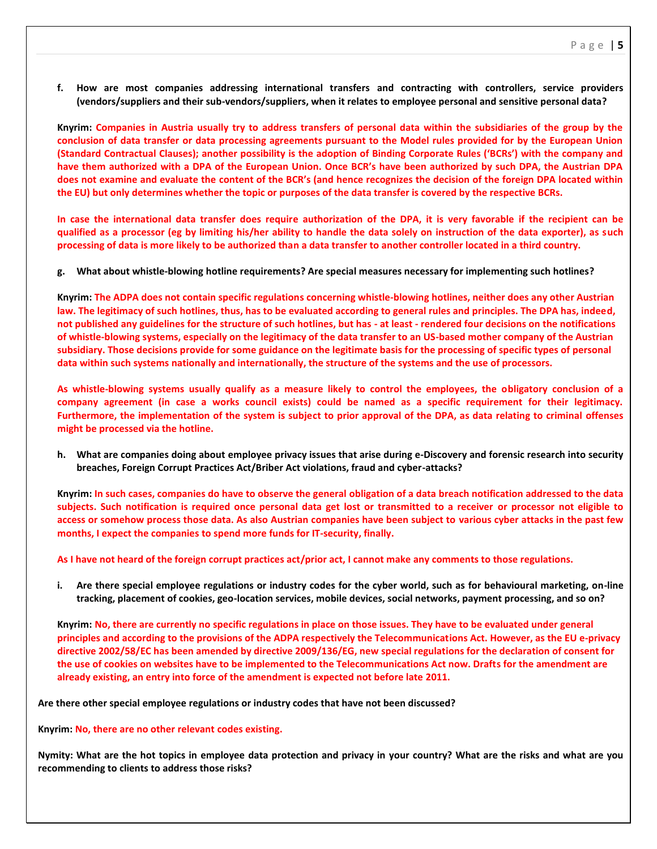**f. How are most companies addressing international transfers and contracting with controllers, service providers (vendors/suppliers and their sub-vendors/suppliers, when it relates to employee personal and sensitive personal data?** 

**Knyrim: Companies in Austria usually try to address transfers of personal data within the subsidiaries of the group by the conclusion of data transfer or data processing agreements pursuant to the Model rules provided for by the European Union (Standard Contractual Clauses); another possibility is the adoption of Binding Corporate Rules ('BCRs') with the company and have them authorized with a DPA of the European Union. Once BCR's have been authorized by such DPA, the Austrian DPA does not examine and evaluate the content of the BCR's (and hence recognizes the decision of the foreign DPA located within the EU) but only determines whether the topic or purposes of the data transfer is covered by the respective BCRs.**

**In case the international data transfer does require authorization of the DPA, it is very favorable if the recipient can be qualified as a processor (eg by limiting his/her ability to handle the data solely on instruction of the data exporter), as such processing of data is more likely to be authorized than a data transfer to another controller located in a third country.**

**g. What about whistle-blowing hotline requirements? Are special measures necessary for implementing such hotlines?**

**Knyrim: The ADPA does not contain specific regulations concerning whistle-blowing hotlines, neither does any other Austrian law. The legitimacy of such hotlines, thus, has to be evaluated according to general rules and principles. The DPA has, indeed, not published any guidelines for the structure of such hotlines, but has - at least - rendered four decisions on the notifications of whistle-blowing systems, especially on the legitimacy of the data transfer to an US-based mother company of the Austrian subsidiary. Those decisions provide for some guidance on the legitimate basis for the processing of specific types of personal data within such systems nationally and internationally, the structure of the systems and the use of processors.**

**As whistle-blowing systems usually qualify as a measure likely to control the employees, the obligatory conclusion of a company agreement (in case a works council exists) could be named as a specific requirement for their legitimacy. Furthermore, the implementation of the system is subject to prior approval of the DPA, as data relating to criminal offenses might be processed via the hotline.**

**h. What are companies doing about employee privacy issues that arise during e-Discovery and forensic research into security breaches, Foreign Corrupt Practices Act/Briber Act violations, fraud and cyber-attacks?**

**Knyrim: In such cases, companies do have to observe the general obligation of a data breach notification addressed to the data subjects. Such notification is required once personal data get lost or transmitted to a receiver or processor not eligible to access or somehow process those data. As also Austrian companies have been subject to various cyber attacks in the past few months, I expect the companies to spend more funds for IT-security, finally.**

**As I have not heard of the foreign corrupt practices act/prior act, I cannot make any comments to those regulations.**

**i. Are there special employee regulations or industry codes for the cyber world, such as for behavioural marketing, on-line tracking, placement of cookies, geo-location services, mobile devices, social networks, payment processing, and so on?**

**Knyrim: No, there are currently no specific regulations in place on those issues. They have to be evaluated under general principles and according to the provisions of the ADPA respectively the Telecommunications Act. However, as the EU e-privacy directive 2002/58/EC has been amended by directive 2009/136/EG, new special regulations for the declaration of consent for the use of cookies on websites have to be implemented to the Telecommunications Act now. Drafts for the amendment are already existing, an entry into force of the amendment is expected not before late 2011.**

**Are there other special employee regulations or industry codes that have not been discussed?**

**Knyrim: No, there are no other relevant codes existing.**

**Nymity: What are the hot topics in employee data protection and privacy in your country? What are the risks and what are you recommending to clients to address those risks?**